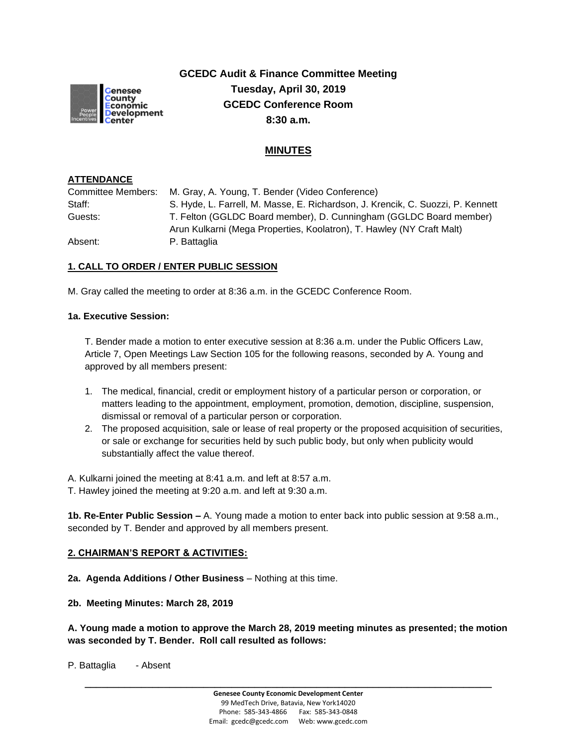

**GCEDC Audit & Finance Committee Meeting Tuesday, April 30, 2019 GCEDC Conference Room 8:30 a.m.**

# **MINUTES**

#### **ATTENDANCE**

| Committee Members: | M. Gray, A. Young, T. Bender (Video Conference)                                 |
|--------------------|---------------------------------------------------------------------------------|
| Staff:             | S. Hyde, L. Farrell, M. Masse, E. Richardson, J. Krencik, C. Suozzi, P. Kennett |
| Guests:            | T. Felton (GGLDC Board member), D. Cunningham (GGLDC Board member)              |
|                    | Arun Kulkarni (Mega Properties, Koolatron), T. Hawley (NY Craft Malt)           |
| Absent:            | P. Battaglia                                                                    |

### **1. CALL TO ORDER / ENTER PUBLIC SESSION**

M. Gray called the meeting to order at 8:36 a.m. in the GCEDC Conference Room.

#### **1a. Executive Session:**

T. Bender made a motion to enter executive session at 8:36 a.m. under the Public Officers Law, Article 7, Open Meetings Law Section 105 for the following reasons, seconded by A. Young and approved by all members present:

- 1. The medical, financial, credit or employment history of a particular person or corporation, or matters leading to the appointment, employment, promotion, demotion, discipline, suspension, dismissal or removal of a particular person or corporation.
- 2. The proposed acquisition, sale or lease of real property or the proposed acquisition of securities, or sale or exchange for securities held by such public body, but only when publicity would substantially affect the value thereof.

A. Kulkarni joined the meeting at 8:41 a.m. and left at 8:57 a.m.

T. Hawley joined the meeting at 9:20 a.m. and left at 9:30 a.m.

**1b. Re-Enter Public Session –** A. Young made a motion to enter back into public session at 9:58 a.m., seconded by T. Bender and approved by all members present.

### **2. CHAIRMAN'S REPORT & ACTIVITIES:**

**2a. Agenda Additions / Other Business** – Nothing at this time.

**2b. Meeting Minutes: March 28, 2019**

**A. Young made a motion to approve the March 28, 2019 meeting minutes as presented; the motion was seconded by T. Bender. Roll call resulted as follows:**

P. Battaglia - Absent

**\_\_\_\_\_\_\_\_\_\_\_\_\_\_\_\_\_\_\_\_\_\_\_\_\_\_\_\_\_\_\_\_\_\_\_\_\_\_\_\_\_\_\_\_\_\_\_\_\_\_\_\_\_\_\_\_\_\_\_\_\_\_\_\_\_\_\_\_\_\_\_\_**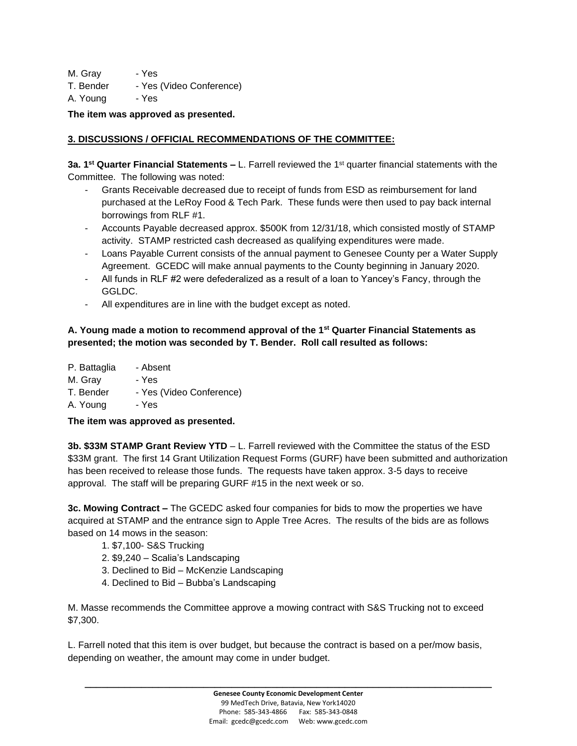M. Gray - Yes

T. Bender - Yes (Video Conference)

A. Young - Yes

**The item was approved as presented.**

# **3. DISCUSSIONS / OFFICIAL RECOMMENDATIONS OF THE COMMITTEE:**

**3a. 1 st Quarter Financial Statements –** L. Farrell reviewed the 1st quarter financial statements with the Committee. The following was noted:

- Grants Receivable decreased due to receipt of funds from ESD as reimbursement for land purchased at the LeRoy Food & Tech Park. These funds were then used to pay back internal borrowings from RLF #1.
- Accounts Payable decreased approx. \$500K from 12/31/18, which consisted mostly of STAMP activity. STAMP restricted cash decreased as qualifying expenditures were made.
- Loans Payable Current consists of the annual payment to Genesee County per a Water Supply Agreement. GCEDC will make annual payments to the County beginning in January 2020.
- All funds in RLF #2 were defederalized as a result of a loan to Yancey's Fancy, through the GGLDC.
- All expenditures are in line with the budget except as noted.

### **A. Young made a motion to recommend approval of the 1st Quarter Financial Statements as presented; the motion was seconded by T. Bender. Roll call resulted as follows:**

- P. Battaglia Absent M. Gray - Yes
- T. Bender Yes (Video Conference)
- A. Young Yes

**The item was approved as presented.**

**3b. \$33M STAMP Grant Review YTD** – L. Farrell reviewed with the Committee the status of the ESD \$33M grant. The first 14 Grant Utilization Request Forms (GURF) have been submitted and authorization has been received to release those funds. The requests have taken approx. 3-5 days to receive approval. The staff will be preparing GURF #15 in the next week or so.

**3c. Mowing Contract –** The GCEDC asked four companies for bids to mow the properties we have acquired at STAMP and the entrance sign to Apple Tree Acres. The results of the bids are as follows based on 14 mows in the season:

- 1. \$7,100- S&S Trucking
- 2. \$9,240 Scalia's Landscaping
- 3. Declined to Bid McKenzie Landscaping
- 4. Declined to Bid Bubba's Landscaping

M. Masse recommends the Committee approve a mowing contract with S&S Trucking not to exceed \$7,300.

L. Farrell noted that this item is over budget, but because the contract is based on a per/mow basis, depending on weather, the amount may come in under budget.

**\_\_\_\_\_\_\_\_\_\_\_\_\_\_\_\_\_\_\_\_\_\_\_\_\_\_\_\_\_\_\_\_\_\_\_\_\_\_\_\_\_\_\_\_\_\_\_\_\_\_\_\_\_\_\_\_\_\_\_\_\_\_\_\_\_\_\_\_\_\_\_\_**